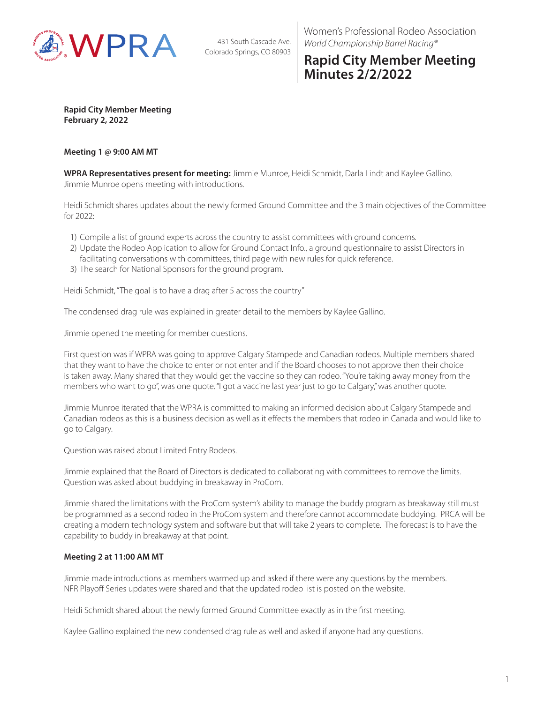

431 South Cascade Ave. Colorado Springs, CO 80903 Women's Professional Rodeo Association *World Championship Barrel Racing®*

# **Rapid City Member Meeting Minutes 2/2/2022**

**Rapid City Member Meeting February 2, 2022**

### **Meeting 1 @ 9:00 AM MT**

**WPRA Representatives present for meeting:** Jimmie Munroe, Heidi Schmidt, Darla Lindt and Kaylee Gallino. Jimmie Munroe opens meeting with introductions.

Heidi Schmidt shares updates about the newly formed Ground Committee and the 3 main objectives of the Committee for 2022:

- 1) Compile a list of ground experts across the country to assist committees with ground concerns.
- 2) Update the Rodeo Application to allow for Ground Contact Info., a ground questionnaire to assist Directors in facilitating conversations with committees, third page with new rules for quick reference.
- 3) The search for National Sponsors for the ground program.

Heidi Schmidt, "The goal is to have a drag after 5 across the country"

The condensed drag rule was explained in greater detail to the members by Kaylee Gallino.

Jimmie opened the meeting for member questions.

First question was if WPRA was going to approve Calgary Stampede and Canadian rodeos. Multiple members shared that they want to have the choice to enter or not enter and if the Board chooses to not approve then their choice is taken away. Many shared that they would get the vaccine so they can rodeo. "You're taking away money from the members who want to go", was one quote. "I got a vaccine last year just to go to Calgary," was another quote.

Jimmie Munroe iterated that the WPRA is committed to making an informed decision about Calgary Stampede and Canadian rodeos as this is a business decision as well as it effects the members that rodeo in Canada and would like to go to Calgary.

Question was raised about Limited Entry Rodeos.

Jimmie explained that the Board of Directors is dedicated to collaborating with committees to remove the limits. Question was asked about buddying in breakaway in ProCom.

Jimmie shared the limitations with the ProCom system's ability to manage the buddy program as breakaway still must be programmed as a second rodeo in the ProCom system and therefore cannot accommodate buddying. PRCA will be creating a modern technology system and software but that will take 2 years to complete. The forecast is to have the capability to buddy in breakaway at that point.

## **Meeting 2 at 11:00 AM MT**

Jimmie made introductions as members warmed up and asked if there were any questions by the members. NFR Playoff Series updates were shared and that the updated rodeo list is posted on the website.

Heidi Schmidt shared about the newly formed Ground Committee exactly as in the first meeting.

Kaylee Gallino explained the new condensed drag rule as well and asked if anyone had any questions.